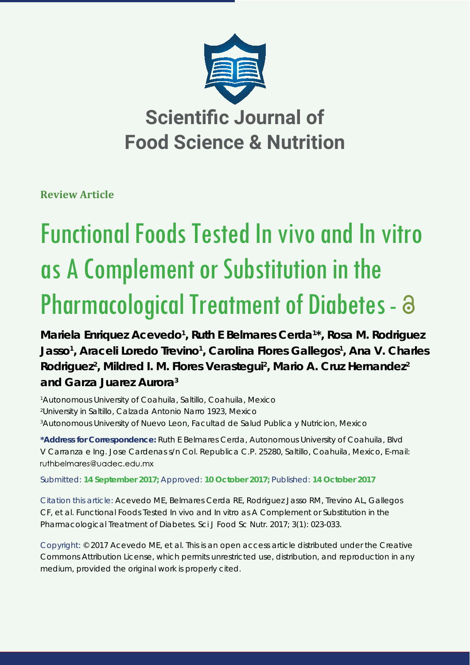

**Review Article**

# Functional Foods Tested In vivo and In vitro as A Complement or Substitution in the Pharmacological Treatment of Diabetes -  $\partial$

Mariela Enriquez Acevedo<sup>1</sup>, Ruth E Belmares Cerda<sup>1\*</sup>, Rosa M. Rodriguez Jasso<sup>1</sup>, Araceli Loredo Trevino<sup>1</sup>, Carolina Flores Gallegos<sup>1</sup>, Ana V. Charles Rodriguez<sup>2</sup>, Mildred I. M. Flores Verastegui<sup>2</sup>, Mario A. Cruz Hernandez<sup>2</sup> **and Garza Juarez Aurora3**

1 Autonomous University of Coahuila, Saltillo, Coahuila, Mexico 2 University in Saltillo, Calzada Antonio Narro 1923, Mexico 3 Autonomous University of Nuevo Leon, Facultad de Salud Publica y Nutricion, Mexico

**\*Address for Correspondence:** Ruth E Belmares Cerda, Autonomous University of Coahuila, Blvd V Carranza e Ing. Jose Cardenas s/n Col. Republica C.P. 25280, Saltillo, Coahuila, Mexico, E-mail: ruthbelmares@uadec.edu.mx

Submitted: **14 September 2017;** Approved: **10 October 2017;** Published: **14 October 2017**

Citation this article: Acevedo ME, Belmares Cerda RE, Rodriguez Jasso RM, Trevino AL, Gallegos CF, et al. Functional Foods Tested In vivo and In vitro as A Complement or Substitution in the Pharmacological Treatment of Diabetes. Sci J Food Sc Nutr. 2017; 3(1): 023-033.

Copyright: © 2017 Acevedo ME, et al. This is an open access article distributed under the Creative Commons Attribution License, which permits unrestricted use, distribution, and reproduction in any medium, provided the original work is properly cited.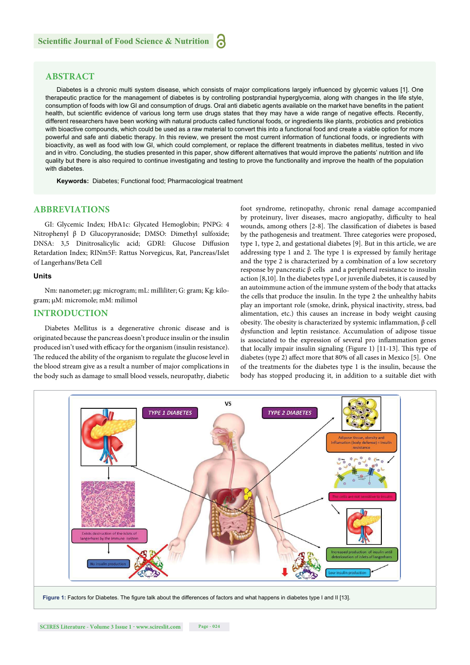## **ABSTRACT**

Diabetes is a chronic multi system disease, which consists of major complications largely influenced by glycemic values [1]. One therapeutic practice for the management of diabetes is by controlling postprandial hyperglycemia, along with changes in the life style, consumption of foods with low GI and consumption of drugs. Oral anti diabetic agents available on the market have benefits in the patient health, but scientific evidence of various long term use drugs states that they may have a wide range of negative effects. Recently, different researchers have been working with natural products called functional foods, or ingredients like plants, probiotics and prebiotics with bioactive compounds, which could be used as a raw material to convert this into a functional food and create a viable option for more powerful and safe anti diabetic therapy. In this review, we present the most current information of functional foods, or ingredients with bioactivity, as well as food with low GI, which could complement, or replace the different treatments in diabetes mellitus, tested in vivo and in vitro. Concluding, the studies presented in this paper, show different alternatives that would improve the patients' nutrition and life quality but there is also required to continue investigating and testing to prove the functionality and improve the health of the population with diabetes.

**Keywords:** Diabetes; Functional food; Pharmacological treatment

## **ABBREVIATIONS**

GI: Glycemic Index; HbA1c: Glycated Hemoglobin; PNPG: 4 Nitrophenyl β D Glucopyranoside; DMSO: Dimethyl sulfoxide; DNSA: 3,5 Dinitrosalicylic acid; GDRI: Glucose Diffusion Retardation Index; RINm5F: Rattus Norvegicus, Rat, Pancreas/Islet of Langerhans/Beta Cell

#### **Units**

Nm: nanometer; μg: microgram; mL: milliliter; G: gram; Kg: kilogram; μM: micromole; mM: milimol

#### **INTRODUCTION**

Diabetes Mellitus is a degenerative chronic disease and is originated because the pancreas doesn't produce insulin or the insulin produced isn't used with efficacy for the organism (insulin resistance). The reduced the ability of the organism to regulate the glucose level in the blood stream give as a result a number of major complications in the body such as damage to small blood vessels, neuropathy, diabetic

foot syndrome, retinopathy, chronic renal damage accompanied by proteinury, liver diseases, macro angiopathy, difficulty to heal wounds, among others [2-8]. The classification of diabetes is based by the pathogenesis and treatment. Three categories were proposed, type 1, type 2, and gestational diabetes [9]. But in this article, we are addressing type 1 and 2. The type 1 is expressed by family heritage and the type 2 is characterized by a combination of a low secretory response by pancreatic  $β$  cells and a peripheral resistance to insulin action [8,10]. In the diabetes type I, or juvenile diabetes, it is caused by an autoimmune action of the immune system of the body that attacks the cells that produce the insulin. In the type 2 the unhealthy habits play an important role (smoke, drink, physical inactivity, stress, bad alimentation, etc.) this causes an increase in body weight causing obesity. The obesity is characterized by systemic inflammation,  $β$  cell dysfunction and leptin resistance. Accumulation of adipose tissue is associated to the expression of several pro inflammation genes that locally impair insulin signaling (Figure 1) [11-13]. This type of diabetes (type 2) affect more that 80% of all cases in Mexico [5]. One of the treatments for the diabetes type 1 is the insulin, because the body has stopped producing it, in addition to a suitable diet with

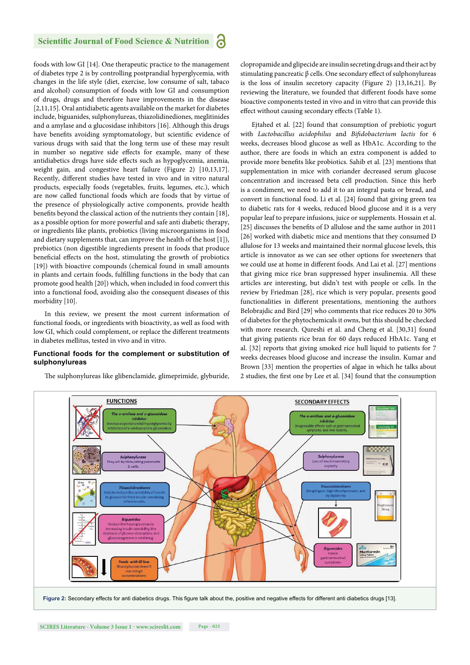foods with low GI [14]. One therapeutic practice to the management of diabetes type 2 is by controlling postprandial hyperglycemia, with changes in the life style (diet, exercise, low consume of salt, tabaco and alcohol) consumption of foods with low GI and consumption of drugs, drugs and therefore have improvements in the disease [2,11,15]. Oral antidiabetic agents available on the market for diabetes include, biguanides, sulphonylureas, thiazolidinediones, meglitinides and α amylase and α glucosidase inhibitors [16]. Although this drugs have benefits avoiding symptomatology, but scientific evidence of various drugs with said that the long term use of these may result in number so negative side effects for example, many of these antidiabetics drugs have side effects such as hypoglycemia, anemia, weight gain, and congestive heart failure (Figure 2) [10,13,17]. Recently, different studies have tested in vivo and in vitro natural products, especially foods (vegetables, fruits, legumes, etc.), which are now called functional foods which are foods that by virtue of the presence of physiologically active components, provide health benefits beyond the classical action of the nutrients they contain [18], as a possible option for more powerful and safe anti diabetic therapy, or ingredients like plants, probiotics (living microorganisms in food and dietary supplements that, can improve the health of the host [1]), prebiotics (non digestible ingredients present in foods that produce beneficial effects on the host, stimulating the growth of probiotics [19]) with bioactive compounds (chemical found in small amounts in plants and certain foods, fulfilling functions in the body that can promote good health [20]) which, when included in food convert this into a functional food, avoiding also the consequent diseases of this morbidity [10].

In this review, we present the most current information of functional foods, or ingredients with bioactivity, as well as food with low GI, which could complement, or replace the different treatments in diabetes mellitus, tested in vivo and in vitro.

#### **Functional foods for the complement or substitution of sulphonylureas**

The sulphonylureas like glibenclamide, glimeprimide, glyburide,

clopropamide and glipecide are insulin secreting drugs and their act by stimulating pancreatic β cells. One secondary effect of sulphonylureas is the loss of insulin secretory capacity (Figure 2) [13,16,21]. By reviewing the literature, we founded that different foods have some bioactive components tested in vivo and in vitro that can provide this effect without causing secondary effects (Table 1).

Ejtahed et al. [22] found that consumption of prebiotic yogurt with *Lactobacillus acidophilus* and *Bifidobacterium lactis* for 6 weeks, decreases blood glucose as well as HbA1c. According to the author, there are foods in which an extra component is added to provide more benefits like probiotics. Sahib et al. [23] mentions that supplementation in mice with coriander decreased serum glucose concentration and increased beta cell production. Since this herb is a condiment, we need to add it to an integral pasta or bread, and convert in functional food. Li et al. [24] found that giving green tea to diabetic rats for 4 weeks, reduced blood glucose and it is a very popular leaf to prepare infusions, juice or supplements. Hossain et al. [25] discusses the benefits of D allulose and the same author in 2011 [26] worked with diabetic mice and mentions that they consumed D allulose for 13 weeks and maintained their normal glucose levels, this article is innovator as we can see other options for sweeteners that we could use at home in different foods. And Lai et al. [27] mentions that giving mice rice bran suppressed hyper insulinemia. All these articles are interesting, but didn't test with people or cells. In the review by Friedman [28], rice which is very popular, presents good functionalities in different presentations, mentioning the authors Belobrajdic and Bird [29] who comments that rice reduces 20 to 30% of diabetes for the phytochemicals it owns, but this should be checked with more research. Qureshi et al. and Cheng et al. [30,31] found that giving patients rice bran for 60 days reduced HbA1c. Yang et al. [32] reports that giving smoked rice hull liquid to patients for 7 weeks decreases blood glucose and increase the insulin. Kumar and Brown [33] mention the properties of algae in which he talks about 2 studies, the first one by Lee et al. [34] found that the consumption

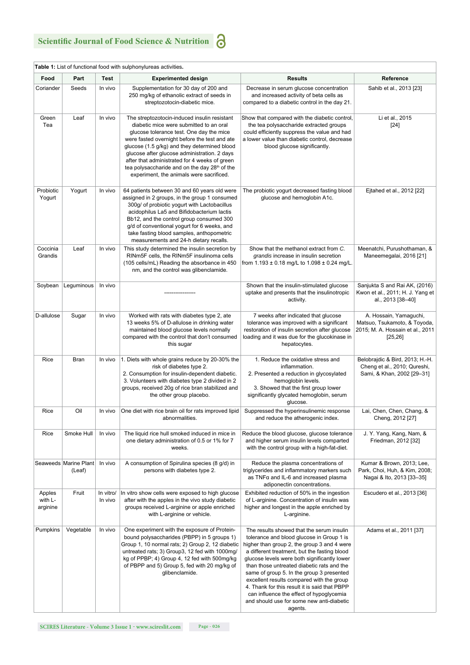| ٥<br>I<br>the contract of the contract of |
|-------------------------------------------|
| . .                                       |
|                                           |
| . .                                       |

| Food                          | Part                            | <b>Test</b>          | <b>Experimented design</b>                                                                                                                                                                                                                                                                                                                                                                                                                     | <b>Results</b>                                                                                                                                                                                                                                                                                                                                                                                                                                                                                                                     | Reference                                                                                              |
|-------------------------------|---------------------------------|----------------------|------------------------------------------------------------------------------------------------------------------------------------------------------------------------------------------------------------------------------------------------------------------------------------------------------------------------------------------------------------------------------------------------------------------------------------------------|------------------------------------------------------------------------------------------------------------------------------------------------------------------------------------------------------------------------------------------------------------------------------------------------------------------------------------------------------------------------------------------------------------------------------------------------------------------------------------------------------------------------------------|--------------------------------------------------------------------------------------------------------|
| Coriander                     | Seeds                           | In vivo              | Supplementation for 30 day of 200 and<br>250 mg/kg of ethanolic extract of seeds in<br>streptozotocin-diabetic mice.                                                                                                                                                                                                                                                                                                                           | Decrease in serum glucose concentration<br>and increased activity of beta cells as<br>compared to a diabetic control in the day 21.                                                                                                                                                                                                                                                                                                                                                                                                | Sahib et al., 2013 [23]                                                                                |
| Green<br>Tea                  | Leaf                            | In vivo              | The streptozotocin-induced insulin resistant<br>diabetic mice were submitted to an oral<br>glucose tolerance test. One day the mice<br>were fasted overnight before the test and ate<br>glucose (1.5 g/kg) and they determined blood<br>glucose after glucose administration. 2 days<br>after that administrated for 4 weeks of green<br>tea polysaccharide and on the day 28 <sup>th</sup> of the<br>experiment, the animals were sacrificed. | Show that compared with the diabetic control,<br>the tea polysaccharide extracted groups<br>could efficiently suppress the value and had<br>a lower value than diabetic control, decrease<br>blood glucose significantly.                                                                                                                                                                                                                                                                                                          | Li et al., 2015<br>$[24]$                                                                              |
| Probiotic<br>Yogurt           | Yogurt                          | In vivo              | 64 patients between 30 and 60 years old were<br>assigned in 2 groups, in the group 1 consumed<br>300g/ of probiotic yogurt with Lactobacillus<br>acidophilus La5 and Bifidobacterium lactis<br>Bb12, and the control group consumed 300<br>g/d of conventional yogurt for 6 weeks, and<br>take fasting blood samples, anthopometric<br>measurements and 24-h dietary recalls.                                                                  | The probiotic yogurt decreased fasting blood<br>glucose and hemoglobin A1c.                                                                                                                                                                                                                                                                                                                                                                                                                                                        | Ejtahed et al., 2012 [22]                                                                              |
| Coccinia<br>Grandis           | Leaf                            | In vivo              | This study determined the insulin secretion by<br>RINm5F cells, the RINm5F insulinoma cells<br>(105 cells/mL) Reading the absorbance in 450<br>nm, and the control was glibenclamide.                                                                                                                                                                                                                                                          | Show that the methanol extract from C.<br>grandis increase in insulin secretion<br>from 1.193 ± 0.18 mg/L to 1.098 ± 0.24 mg/L.                                                                                                                                                                                                                                                                                                                                                                                                    | Meenatchi, Purushothaman, &<br>Maneemegalai, 2016 [21]                                                 |
| Soybean                       | Leguminous                      | In vivo              |                                                                                                                                                                                                                                                                                                                                                                                                                                                | Shown that the insulin-stimulated glucose<br>uptake and presents that the insulinotropic<br>activity.                                                                                                                                                                                                                                                                                                                                                                                                                              | Sanjukta S and Rai AK, (2016)<br>Kwon et al., 2011; H. J. Yang et<br>al., 2013 [38-40]                 |
| D-allulose                    | Sugar                           | In vivo              | Worked with rats with diabetes type 2, ate<br>13 weeks 5% of D-allulose in drinking water<br>maintained blood glucose levels normally<br>compared with the control that don't consumed<br>this sugar                                                                                                                                                                                                                                           | 7 weeks after indicated that glucose<br>tolerance was improved with a significant<br>restoration of insulin secretion after glucose<br>loading and it was due for the glucokinase in<br>hepatocytes.                                                                                                                                                                                                                                                                                                                               | A. Hossain, Yamaguchi,<br>Matsuo, Tsukamoto, & Toyoda,<br>2015; M. A. Hossain et al., 2011<br>[25, 26] |
| Rice                          | Bran                            | In vivo              | 1. Diets with whole grains reduce by 20-30% the<br>risk of diabetes type 2.<br>2. Consumption for insulin-dependent diabetic.<br>3. Volunteers with diabetes type 2 divided in 2<br>groups, received 20g of rice bran stabilized and<br>the other group placebo.                                                                                                                                                                               | 1. Reduce the oxidative stress and<br>inflammation.<br>2. Presented a reduction in glycosylated<br>hemoglobin levels.<br>3. Showed that the first group lower<br>significantly glycated hemoglobin, serum<br>glucose.                                                                                                                                                                                                                                                                                                              | Belobrajdic & Bird, 2013; H.-H.<br>Cheng et al., 2010; Qureshi,<br>Sami, & Khan, 2002 [29-31]          |
| Rice                          | Oil                             | In vivo              | One diet with rice brain oil for rats improved lipid<br>abnormalities.                                                                                                                                                                                                                                                                                                                                                                         | Suppressed the hyperinsulinemic response<br>and reduce the atherogenic index.                                                                                                                                                                                                                                                                                                                                                                                                                                                      | Lai, Chen, Chen, Chang, &<br>Cheng, 2012 [27]                                                          |
| Rice                          | Smoke Hull                      | In vivo              | The liquid rice hull smoked induced in mice in<br>one dietary administration of 0.5 or 1% for 7<br>weeks.                                                                                                                                                                                                                                                                                                                                      | Reduce the blood glucose, glucose tolerance<br>and higher serum insulin levels comparted<br>with the control group with a high-fat-diet.                                                                                                                                                                                                                                                                                                                                                                                           | J. Y. Yang, Kang, Nam, &<br>Friedman, 2012 [32]                                                        |
|                               | Seaweeds Marine Plant<br>(Leaf) | In vivo              | A consumption of Spirulina species (8 g/d) in<br>persons with diabetes type 2.                                                                                                                                                                                                                                                                                                                                                                 | Reduce the plasma concentrations of<br>triglycerides and inflammatory markers such<br>as TNFα and IL-6 and increased plasma<br>adiponectin concentrations.                                                                                                                                                                                                                                                                                                                                                                         | Kumar & Brown, 2013; Lee,<br>Park, Choi, Huh, & Kim, 2008;<br>Nagai & Ito, 2013 [33-35]                |
| Apples<br>with L-<br>arginine | Fruit                           | In vitro/<br>In vivo | In vitro show cells were exposed to high glucose<br>after with the apples in the vivo study diabetic<br>groups received L-arginine or apple enriched<br>with L-arginine or vehicle.                                                                                                                                                                                                                                                            | Exhibited reduction of 50% in the ingestion<br>of L-arginine. Concentration of insulin was<br>higher and longest in the apple enriched by<br>L-arginine.                                                                                                                                                                                                                                                                                                                                                                           | Escudero et al., 2013 [36]                                                                             |
| Pumpkins                      | Vegetable                       | In vivo              | One experiment with the exposure of Protein-<br>bound polysaccharides (PBPP) in 5 groups 1)<br>Group 1, 10 normal rats; 2) Group 2, 12 diabetic<br>untreated rats; 3) Group3, 12 fed with 1000mg/<br>kg of PPBP; 4) Group 4, 12 fed with 500mg/kg<br>of PBPP and 5) Group 5, fed with 20 mg/kg of<br>glibenclamide.                                                                                                                            | The results showed that the serum insulin<br>tolerance and blood glucose in Group 1 is<br>higher than group 2, the group 3 and 4 were<br>a different treatment, but the fasting blood<br>glucose levels were both significantly lower<br>than those untreated diabetic rats and the<br>same of group 5. In the group 3 presented<br>excellent results compared with the group<br>4. Thank for this result it is said that PBPP<br>can influence the effect of hypoglycemia<br>and should use for some new anti-diabetic<br>agents. | Adams et al., 2011 [37]                                                                                |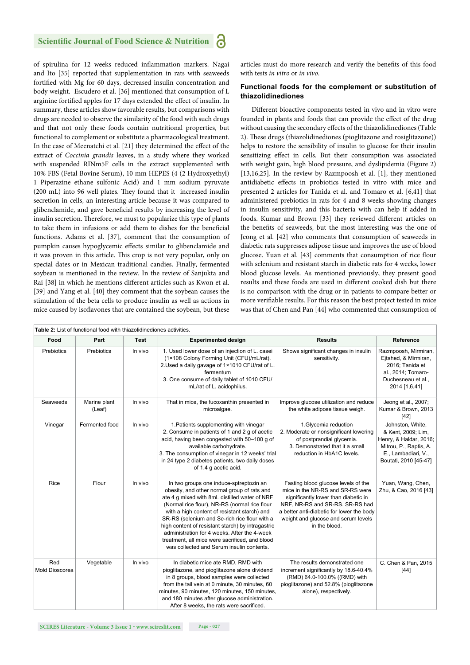of spirulina for 12 weeks reduced inflammation markers. Nagai and Ito [35] reported that supplementation in rats with seaweeds fortified with Mg for 60 days, decreased insulin concentration and body weight. Escudero et al. [36] mentioned that consumption of L arginine fortified apples for 17 days extended the effect of insulin. In summary, these articles show favorable results, but comparisons with drugs are needed to observe the similarity of the food with such drugs and that not only these foods contain nutritional properties, but functional to complement or substitute a pharmacological treatment. In the case of Meenatchi et al. [21] they determined the effect of the extract of *Coccinia grandis* leaves, in a study where they worked with suspended RINm5F cells in the extract supplemented with 10% FBS (Fetal Bovine Serum), 10 mm HEPES (4 (2 Hydroxyethyl) 1 Piperazine ethane sulfonic Acid) and 1 mm sodium pyruvate (200 mL) into 96 well plates. They found that it increased insulin secretion in cells, an interesting article because it was compared to glibenclamide, and gave beneficial results by increasing the level of insulin secretion. Therefore, we must to popularize this type of plants to take them in infusions or add them to dishes for the beneficial functions. Adams et al. [37], comment that the consumption of pumpkin causes hypoglycemic effects similar to glibenclamide and it was proven in this article. This crop is not very popular, only on special dates or in Mexican traditional candies. Finally, fermented soybean is mentioned in the review. In the review of Sanjukta and Rai [38] in which he mentions different articles such as Kwon et al. [39] and Yang et al. [40] they comment that the soybean causes the stimulation of the beta cells to produce insulin as well as actions in mice caused by isoflavones that are contained the soybean, but these articles must do more research and verify the benefits of this food with tests *in vitro* or *in vivo*.

#### **Functional foods for the complement or substitution of thiazolidinediones**

Different bioactive components tested in vivo and in vitro were founded in plants and foods that can provide the effect of the drug without causing the secondary effects of the thiazolidinediones (Table 2). These drugs (thiazolidinediones (pioglitazone and rosiglitazone)) helps to restore the sensibility of insulin to glucose for their insulin sensitizing effect in cells. But their consumption was associated with weight gain, high blood pressure, and dyslipidemia (Figure 2) [13,16,25]. In the review by Razmpoosh et al. [1], they mentioned antidiabetic effects in probiotics tested in vitro with mice and presented 2 articles for Tanida et al. and Tomaro et al. [6,41] that administered prebiotics in rats for 4 and 8 weeks showing changes in insulin sensitivity, and this bacteria with can help if added in foods. Kumar and Brown [33] they reviewed different articles on the benefits of seaweeds, but the most interesting was the one of Jeong et al. [42] who comments that consumption of seaweeds in diabetic rats suppresses adipose tissue and improves the use of blood glucose. Yuan et al. [43] comments that consumption of rice flour with selenium and resistant starch in diabetic rats for 4 weeks, lower blood glucose levels. As mentioned previously, they present good results and these foods are used in different cooked dish but there is no comparison with the drug or in patients to compare better or more verifiable results. For this reason the best project tested in mice was that of Chen and Pan [44] who commented that consumption of

| Food                         | Part                   | Test    | <b>Experimented design</b>                                                                                                                                                                                                                                                                                                                                                                                                                                                                    | <b>Results</b>                                                                                                                                                                                                                                          | Reference                                                                                                                                  |
|------------------------------|------------------------|---------|-----------------------------------------------------------------------------------------------------------------------------------------------------------------------------------------------------------------------------------------------------------------------------------------------------------------------------------------------------------------------------------------------------------------------------------------------------------------------------------------------|---------------------------------------------------------------------------------------------------------------------------------------------------------------------------------------------------------------------------------------------------------|--------------------------------------------------------------------------------------------------------------------------------------------|
| <b>Prebiotics</b>            | Prebiotics             | In vivo | 1. Used lower dose of an injection of L. casei<br>(1×108 Colony Forming Unit (CFU)/mL/rat).<br>2. Used a daily gavage of 1×1010 CFU/rat of L.<br>fermentum<br>3. One consume of daily tablet of 1010 CFU/<br>mL/rat of L. acidophilus.                                                                                                                                                                                                                                                        | Shows significant changes in insulin<br>sensitivity.                                                                                                                                                                                                    | Razmpoosh, Mirmiran,<br>Eitahed, & Mirmiran,<br>2016; Tanida et<br>al., 2014; Tomaro-<br>Duchesneau et al.,<br>2014 [1,6,41]               |
| Seaweeds                     | Marine plant<br>(Leaf) | In vivo | That in mice, the fucoxanthin presented in<br>microalgae.                                                                                                                                                                                                                                                                                                                                                                                                                                     | Improve glucose utilization and reduce<br>the white adipose tissue weigh.                                                                                                                                                                               | Jeong et al., 2007;<br>Kumar & Brown, 2013<br>$[42]$                                                                                       |
| Vinegar                      | Fermented food         | In vivo | 1. Patients supplementing with vinegar<br>2. Consume in patients of 1 and 2 q of acetic<br>acid, having been congested with 50-100 g of<br>available carbohydrate.<br>3. The consumption of vinegar in 12 weeks' trial<br>in 24 type 2 diabetes patients, two daily doses<br>of 1.4 g acetic acid.                                                                                                                                                                                            | 1.Glycemia reduction<br>2. Moderate or nonsignificant lowering<br>of postprandial glycemia.<br>3. Demonstrated that it a small<br>reduction in HbA1C levels.                                                                                            | Johnston, White,<br>& Kent, 2009; Lim,<br>Henry, & Haldar, 2016;<br>Mitrou, P., Raptis, A.<br>E., Lambadiari, V.,<br>Boutati, 2010 [45-47] |
| <b>Rice</b>                  | Flour                  | In vivo | In two groups one induce-sptreptozin an<br>obesity, and other normal group of rats and<br>ate 4 g mixed with 8mL distilled water of NRF<br>(Normal rice flour), NR-RS (normal rice flour<br>with a high content of resistant starch) and<br>SR-RS (selenium and Se-rich rice flour with a<br>high content of resistant starch) by intragastric<br>administration for 4 weeks. After the 4-week<br>treatment, all mice were sacrificed, and blood<br>was collected and Serum insulin contents. | Fasting blood glucose levels of the<br>mice in the NR-RS and SR-RS were<br>significantly lower than diabetic in<br>NRF, NR-RS and SR-RS. SR-RS had<br>a better anti-diabetic for lower the body<br>weight and glucose and serum levels<br>in the blood. | Yuan, Wang, Chen,<br>Zhu, & Cao, 2016 [43]                                                                                                 |
| Red<br><b>Mold Dioscorea</b> | Vegetable              | In vivo | In diabetic mice ate RMD, RMD with<br>pioglitazone, and pioglitazone alone dividend<br>in 8 groups, blood samples were collected<br>from the tail vein at 0 minute, 30 minutes, 60<br>minutes, 90 minutes, 120 minutes, 150 minutes,<br>and 180 minutes after glucose administration.<br>After 8 weeks, the rats were sacrificed.                                                                                                                                                             | The results demonstrated one<br>increment significantly by 18.6-40.4%<br>(RMD) 64.0-100.0% ((RMD) with<br>pioglitazone) and 52.8% (pioglitazone<br>alone), respectively.                                                                                | C. Chen & Pan, 2015<br>$[44]$                                                                                                              |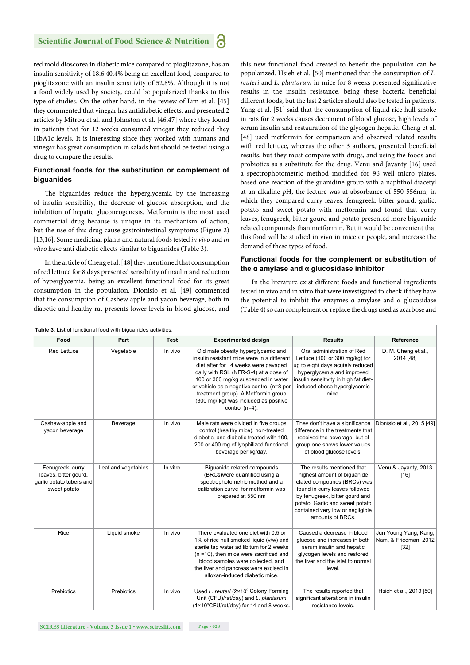red mold dioscorea in diabetic mice compared to pioglitazone, has an insulin sensitivity of 18.6 40.4% being an excellent food, compared to pioglitazone with an insulin sensitivity of 52.8%. Although it is not a food widely used by society, could be popularized thanks to this type of studies. On the other hand, in the review of Lim et al. [45] they commented that vinegar has antidiabetic effects, and presented 2 articles by Mitrou et al. and Johnston et al. [46,47] where they found in patients that for 12 weeks consumed vinegar they reduced they HbA1c levels. It is interesting since they worked with humans and vinegar has great consumption in salads but should be tested using a drug to compare the results.

#### **Functional foods for the substitution or complement of biguanides**

The biguanides reduce the hyperglycemia by the increasing of insulin sensibility, the decrease of glucose absorption, and the inhibition of hepatic gluconeogenesis. Metformin is the most used commercial drug because is unique in its mechanism of action, but the use of this drug cause gastrointestinal symptoms (Figure 2) [13,16]. Some medicinal plants and natural foods tested *in vivo* and *in vitro* have anti diabetic effects similar to biguanides (Table 3).

In the article of Cheng et al. [48] they mentioned that consumption of red lettuce for 8 days presented sensibility of insulin and reduction of hyperglycemia, being an excellent functional food for its great consumption in the population. Dionisio et al. [49] commented that the consumption of Cashew apple and yacon beverage, both in diabetic and healthy rat presents lower levels in blood glucose, and

this new functional food created to benefit the population can be popularized. Hsieh et al. [50] mentioned that the consumption of *L. reuteri* and *L. plantarum* in mice for 8 weeks presented significative results in the insulin resistance, being these bacteria beneficial different foods, but the last 2 articles should also be tested in patients. Yang et al. [51] said that the consumption of liquid rice hull smoke in rats for 2 weeks causes decrement of blood glucose, high levels of serum insulin and restauration of the glycogen hepatic. Cheng et al. [48] used metformin for comparison and observed related results with red lettuce, whereas the other 3 authors, presented beneficial results, but they must compare with drugs, and using the foods and probiotics as a substitute for the drug. Venu and Jayanty [16] used a spectrophotometric method modified for 96 well micro plates, based one reaction of the guanidine group with a naphthol diacetyl at an alkaline *p*H, the lecture was at absorbance of 550 556nm, in which they compared curry leaves, fenugreek, bitter gourd, garlic, potato and sweet potato with metformin and found that curry leaves, fenugreek, bitter gourd and potato presented more biguanide related compounds than metformin. But it would be convenient that this food will be studied in vivo in mice or people, and increase the demand of these types of food.

#### **Functional foods for the complement or substitution of the α amylase and α glucosidase inhibitor**

In the literature exist different foods and functional ingredients tested in vivo and in vitro that were investigated to check if they have the potential to inhibit the enzymes α amylase and α glucosidase (Table 4) so can complement or replace the drugs used as acarbose and

| Food                                                                                  | Part                | <b>Test</b> | <b>Experimented design</b>                                                                                                                                                                                                                                                                                                                                 | <b>Results</b>                                                                                                                                                                                                                                           | Reference                                                |
|---------------------------------------------------------------------------------------|---------------------|-------------|------------------------------------------------------------------------------------------------------------------------------------------------------------------------------------------------------------------------------------------------------------------------------------------------------------------------------------------------------------|----------------------------------------------------------------------------------------------------------------------------------------------------------------------------------------------------------------------------------------------------------|----------------------------------------------------------|
|                                                                                       |                     |             |                                                                                                                                                                                                                                                                                                                                                            |                                                                                                                                                                                                                                                          |                                                          |
| <b>Red Lettuce</b>                                                                    | Vegetable           | In vivo     | Old male obesity hyperglycemic and<br>insulin resistant mice were in a different<br>diet after for 14 weeks were gavaged<br>daily with RSL (NFR-S-4) at a dose of<br>100 or 300 mg/kg suspended in water<br>or vehicle as a negative control (n=8 per<br>treatment group). A Metformin group<br>(300 mg/ kg) was included as positive<br>control $(n=4)$ . | Oral administration of Red<br>Lettuce (100 or 300 mg/kg) for<br>up to eight days acutely reduced<br>hyperglycemia and improved<br>insulin sensitivity in high fat diet-<br>induced obese hyperglycemic<br>mice.                                          | D. M. Cheng et al.,<br>2014 [48]                         |
| Cashew-apple and<br>vacon beverage                                                    | Beverage            | In vivo     | Male rats were divided in five groups<br>control (healthy mice), non-treated<br>diabetic, and diabetic treated with 100,<br>200 or 400 mg of Iyophilized functional<br>beverage per kg/day.                                                                                                                                                                | They don't have a significance<br>difference in the treatments that<br>received the beverage, but el<br>group one shows lower values<br>of blood glucose levels.                                                                                         | Dionísio et al., 2015 [49]                               |
| Fenugreek, curry<br>leaves, bitter gourd,<br>garlic potato tubers and<br>sweet potato | Leaf and vegetables | In vitro    | Biguanide related compounds<br>(BRCs)were quantified using a<br>spectrophotometric method and a<br>calibration curve for metformin was<br>prepared at 550 nm                                                                                                                                                                                               | The results mentioned that<br>highest amount of biguanide<br>related compounds (BRCs) was<br>found in curry leaves followed<br>by fenugreek, bitter gourd and<br>potato. Garlic and sweet potato<br>contained very low or negligible<br>amounts of BRCs. | Venu & Jayanty, 2013<br>$[16]$                           |
| Rice                                                                                  | Liquid smoke        | In vivo     | There evaluated one diet with 0.5 or<br>1% of rice hull smoked liquid (v/w) and<br>sterile tap water ad libitum for 2 weeks<br>$(n = 10)$ , then mice were sacrificed and<br>blood samples were collected, and<br>the liver and pancreas were excised in<br>alloxan-induced diabetic mice.                                                                 | Caused a decrease in blood<br>glucose and increases in both<br>serum insulin and hepatic<br>glycogen levels and restored<br>the liver and the islet to normal<br>level.                                                                                  | Jun Young Yang, Kang,<br>Nam, & Friedman, 2012<br>$[32]$ |
| Prebiotics                                                                            | Prebiotics          | In vivo     | Used L. reuteri (2×10 <sup>9</sup> Colony Forming<br>Unit (CFU)/rat/day) and L. plantarum<br>(1×10°CFU/rat/day) for 14 and 8 weeks.                                                                                                                                                                                                                        | The results reported that<br>significant alterations in insulin<br>resistance levels.                                                                                                                                                                    | Hsieh et al., 2013 [50]                                  |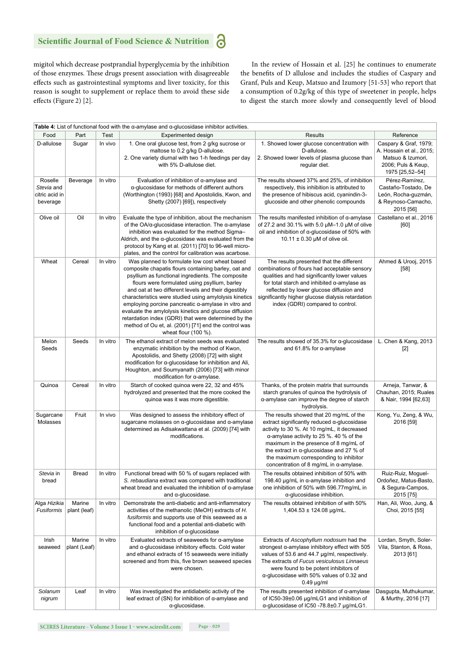migitol which decrease postprandial hyperglycemia by the inhibition of those enzymes. These drugs present association with disagreeable effects such as gastrointestinal symptoms and liver toxicity, for this reason is sought to supplement or replace them to avoid these side effects (Figure 2) [2].

In the review of Hossain et al. [25] he continues to enumerate the benefits of D allulose and includes the studies of Caspary and Granf, Puls and Keup, Matsuo and Izumory [51-53] who report that a consumption of 0.2g/kg of this type of sweetener in people, helps to digest the starch more slowly and consequently level of blood

| Table 4: List of functional food with the $\alpha$ -amylase and $\alpha$ -glucosidase inhibitor activities. |                        |          |                                                                                                                                                                                                                                                                                                                                                                                                                                                                                                                                                                                           |                                                                                                                                                                                                                                                                                                                                                                                             |                                                                                                                 |  |  |  |
|-------------------------------------------------------------------------------------------------------------|------------------------|----------|-------------------------------------------------------------------------------------------------------------------------------------------------------------------------------------------------------------------------------------------------------------------------------------------------------------------------------------------------------------------------------------------------------------------------------------------------------------------------------------------------------------------------------------------------------------------------------------------|---------------------------------------------------------------------------------------------------------------------------------------------------------------------------------------------------------------------------------------------------------------------------------------------------------------------------------------------------------------------------------------------|-----------------------------------------------------------------------------------------------------------------|--|--|--|
| Food                                                                                                        | Part                   | Test     | Experimented design                                                                                                                                                                                                                                                                                                                                                                                                                                                                                                                                                                       | <b>Results</b>                                                                                                                                                                                                                                                                                                                                                                              | Reference                                                                                                       |  |  |  |
| D-allulose                                                                                                  | Sugar                  | In vivo  | 1. One oral glucose test, from 2 g/kg sucrose or<br>maltose to 0.2 g/kg D-allulose.<br>2. One variety diurnal with two 1-h feedings per day<br>with 5% D-allulose diet.                                                                                                                                                                                                                                                                                                                                                                                                                   | 1. Showed lower glucose concentration with<br>D-allulose.<br>2. Showed lower levels of plasma glucose than<br>regular diet.                                                                                                                                                                                                                                                                 | Caspary & Graf, 1979;<br>A. Hossain et al., 2015;<br>Matsuo & Izumori,<br>2006; Puls & Keup,<br>1975 [25,52-54] |  |  |  |
| Roselle<br>Stevia and<br>citric acid in<br>beverage                                                         | Beverage               | In vitro | Evaluation of inhibition of $\alpha$ -amylase and<br>a-glucosidase for methods of different authors<br>(Worthington (1993) [68] and Apostolidis, Kwon, and<br>Shetty (2007) [69]), respectively                                                                                                                                                                                                                                                                                                                                                                                           | The results showed 37% and 25%, of inhibition<br>Pérez-Ramírez,<br>respectively, this inhibition is attributed to<br>Castaño-Tostado, De<br>the presence of hibiscus acid, cyanindin-3-<br>León, Rocha-guzmán,<br>glucoside and other phenolic compounds<br>& Reynoso-Camacho,<br>2015 [56]                                                                                                 |                                                                                                                 |  |  |  |
| Olive oil                                                                                                   | Oil                    | In vitro | Evaluate the type of inhibition, about the mechanism<br>of the $OA/\alpha$ -glucosidase interaction. The $\alpha$ -amylase<br>inhibition was evaluated for the method Sigma-<br>Aldrich, and the $\alpha$ -glucosidase was evaluated from the<br>protocol by Kang et al. (2011) [70] to 96-well micro-<br>plates, and the control for calibration was acarbose.                                                                                                                                                                                                                           | The results manifested inhibition of $\alpha$ -amylase<br>of 27.2 and 30.1% with 5.0 $\mu$ M-1.0 $\mu$ M of olive<br>oil and inhibition of $\alpha$ -glucosidase of 50% with<br>10.11 $\pm$ 0.30 µM of olive oil.                                                                                                                                                                           | Castellano et al., 2016<br>[60]                                                                                 |  |  |  |
| Wheat                                                                                                       | Cereal                 | In vitro | Was planned to formulate low cost wheat based<br>composite chapatis flours containing barley, oat and<br>psyllium as functional ingredients. The composite<br>flours were formulated using psyllium, barley<br>and oat at two different levels and their digestibly<br>characteristics were studied using amylolysis kinetics<br>employing porcine pancreatic a-amylase in vitro and<br>evaluate the amylolysis kinetics and glucose diffusion<br>retardation index (GDRI) that were determined by the<br>method of Ou et, al. (2001) [71] end the control was<br>wheat flour $(100 %)$ . | The results presented that the different<br>combinations of flours had acceptable sensory<br>qualities and had significantly lower values<br>for total starch and inhibited $\alpha$ -amylase as<br>reflected by lower glucose diffusion and<br>significantly higher glucose dialysis retardation<br>index (GDRI) compared to control.                                                      | Ahmed & Urooj, 2015<br>$[58]$                                                                                   |  |  |  |
| Melon<br>Seeds                                                                                              | Seeds                  | In vitro | The ethanol extract of melon seeds was evaluated<br>enzymatic inhibition by the method of Kwon,<br>Apostolidis, and Shetty (2008) [72] with slight<br>modification for $\alpha$ -glucosidase for inhibition and Ali,<br>Houghton, and Soumyanath (2006) [73] with minor<br>modification for $\alpha$ -amylase.                                                                                                                                                                                                                                                                            | The results showed of $35.3\%$ for $\alpha$ -glucosidase<br>and 61.8% for $\alpha$ -amylase                                                                                                                                                                                                                                                                                                 | L. Chen & Kang, 2013<br>$[2]$                                                                                   |  |  |  |
| Quinoa                                                                                                      | Cereal                 | In vitro | Starch of cooked quinoa were 22, 32 and 45%<br>hydrolyzed and presented that the more cooked the<br>quinoa was it was more digestible.                                                                                                                                                                                                                                                                                                                                                                                                                                                    | Thanks, of the protein matrix that surrounds<br>starch granules of quinoa the hydrolysis of<br>a-amylase can improve the degree of starch<br>hydrolysis.                                                                                                                                                                                                                                    | Arneja, Tanwar, &<br>Chauhan, 2015; Ruales<br>& Nair, 1994 [62,63]                                              |  |  |  |
| Sugarcane<br>Molasses                                                                                       | Fruit                  | In vivo  | Was designed to assess the inhibitory effect of<br>sugarcane molasses on $\alpha$ -glucosidase and $\alpha$ -amylase<br>determined as Adisakwattana et al. (2009) [74] with<br>modifications.                                                                                                                                                                                                                                                                                                                                                                                             | The results showed that 20 mg/mL of the<br>$extract$ significantly reduced $\alpha$ -glucosidase<br>activity to 30 %. At 10 mg/mL, it decreased<br>$\alpha$ -amylase activity to 25 %. 40 % of the<br>maximum in the presence of 8 mg/mL of<br>the extract in $\alpha$ -glucosidase and 27 % of<br>the maximum corresponding to inhibitor<br>concentration of 8 mg/mL in $\alpha$ -amylase. | Kong, Yu, Zeng, & Wu,<br>2016 [59]                                                                              |  |  |  |
| Stevia in<br>bread                                                                                          | <b>Bread</b>           | In vitro | Functional bread with 50 % of sugars replaced with<br>S. rebaudiana extract was compared with traditional<br>wheat bread and evaluated the inhibition of $\alpha$ -amylase<br>and a-glucosidase.                                                                                                                                                                                                                                                                                                                                                                                          | The results obtained inhibition of 50% with<br>198.40 $\mu$ g/mL in $\alpha$ -amylase inhibition and<br>one inhibition of 50% with 596.77mg/mL in<br>a-glucosidase inhibition.                                                                                                                                                                                                              | Ruiz-Ruiz, Moquel-<br>Ordoñez, Matus-Basto,<br>& Segura-Campos,<br>2015 [75]                                    |  |  |  |
| Alga Hizikia<br>Fusiformis                                                                                  | Marine<br>plant (leaf) | In vitro | Demonstrate the anti-diabetic and anti-inflammatory<br>activities of the methanolic (MeOH) extracts of H.<br>fusiformis and supports use of this seaweed as a<br>functional food and a potential anti-diabetic with<br>inhibition of $\alpha$ -glucosidase                                                                                                                                                                                                                                                                                                                                | The results obtained inhibition of with 50%<br>1,404.53 ± 124.08 µg/mL.                                                                                                                                                                                                                                                                                                                     | Han, Ali, Woo, Jung, &<br>Choi, 2015 [55]                                                                       |  |  |  |
| Irish<br>seaweed                                                                                            | Marine<br>plant (Leaf) | In vitro | Evaluated extracts of seaweeds for $\alpha$ -amylase<br>and a-glucosidase inhibitory effects. Cold water<br>and ethanol extracts of 15 seaweeds were initially<br>screened and from this, five brown seaweed species<br>were chosen.                                                                                                                                                                                                                                                                                                                                                      | Extracts of Ascophyllum nodosum had the<br>strongest $\alpha$ -amylase inhibitory effect with 505<br>values of 53.6 and 44.7 µg/ml, respectively.<br>The extracts of Fucus vesiculosus Linnaeus<br>were found to be potent inhibitors of<br>a-glucosidase with 50% values of 0.32 and<br>$0.49$ µg/ml                                                                                       | Lordan, Smyth, Soler-<br>Vila, Stanton, & Ross,<br>2013 [61]                                                    |  |  |  |
| Solanum<br>nigrum                                                                                           | Leaf                   | In vitro | Was investigated the antidiabetic activity of the<br>leaf extract of $(SN)$ for inhibition of $\alpha$ -amylase and<br>α-glucosidase.                                                                                                                                                                                                                                                                                                                                                                                                                                                     | The results presented inhibition of $\alpha$ -amylase<br>of IC50-39±0.06 µg/mLG1 and inhibition of<br>$\alpha$ -glucosidase of IC50 -78.8 $\pm$ 0.7 µg/mLG1.                                                                                                                                                                                                                                | Dasgupta, Muthukumar,<br>& Murthy, 2016 [17]                                                                    |  |  |  |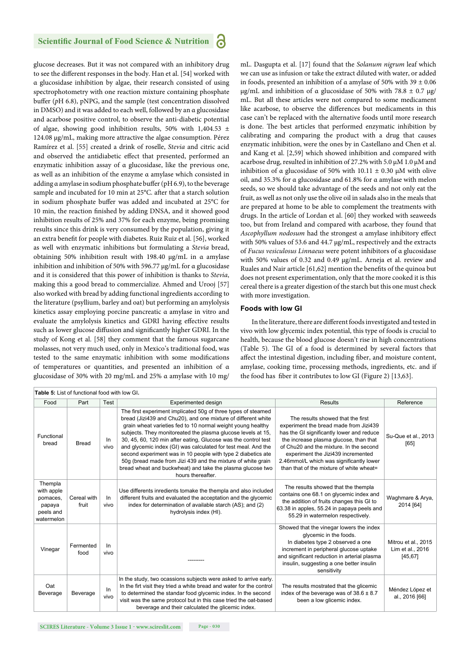glucose decreases. But it was not compared with an inhibitory drug to see the different responses in the body. Han et al. [54] worked with α glucosidase inhibition by algae, their research consisted of using spectrophotometry with one reaction mixture containing phosphate buffer (pH 6.8), pNPG, and the sample (test concentration dissolved in DMSO) and it was added to each well, followed by an α glucosidase and acarbose positive control, to observe the anti-diabetic potential of algae, showing good inhibition results, 50% with  $1,404.53 \pm 1$ 124.08 μg/mL, making more attractive the algae consumption. Pérez Ramírez et al. [55] created a drink of roselle, *Stevia* and citric acid and observed the antidiabetic effect that presented, performed an enzymatic inhibition assay of α glucosidase, like the previous one, as well as an inhibition of the enzyme α amylase which consisted in adding  $\alpha$  amylase in sodium phosphate buffer (pH 6.9), to the beverage sample and incubated for 10 min at 25°C. after that a starch solution in sodium phosphate buffer was added and incubated at 25°C for 10 min, the reaction finished by adding DNSA, and it showed good inhibition results of 25% and 37% for each enzyme, being promising results since this drink is very consumed by the population, giving it an extra benefit for people with diabetes. Ruiz Ruiz et al. [56], worked as well with enzymatic inhibitions but formulating a *Stevia* bread, obtaining 50% inhibition result with 198.40 μg/mL in α amylase inhibition and inhibition of 50% with 596.77 μg/mL for α glucosidase and it is considered that this power of inhibition is thanks to *Stevia*, making this a good bread to commercialize. Ahmed and Urooj [57] also worked with bread by adding functional ingredients according to the literature (psyllium, barley and oat) but performing an amylolysis kinetics assay employing porcine pancreatic α amylase in vitro and evaluate the amylolysis kinetics and GDRI having effective results such as lower glucose diffusion and significantly higher GDRI. In the study of Kong et al. [58] they comment that the famous sugarcane molasses, not very much used, only in Mexico's traditional food, was tested to the same enzymatic inhibition with some modifications of temperatures or quantities, and presented an inhibition of α glucosidase of 30% with 20 mg/mL and 25% α amylase with 10 mg/

mL. Dasgupta et al. [17] found that the *Solanum nigrum* leaf which we can use as infusion or take the extract diluted with water, or added in foods, presented an inhibition of α amylase of 50% with 39  $\pm$  0.06 μg/mL and inhibition of α glucosidase of 50% with 78.8  $\pm$  0.7 μg/ mL. But all these articles were not compared to some medicament like acarbose, to observe the differences but medicaments in this case can't be replaced with the alternative foods until more research is done. The best articles that performed enzymatic inhibition by calibrating and comparing the product with a drug that causes enzymatic inhibition, were the ones by in Castellano and Chen et al. and Kang et al. [2,59] which showed inhibition and compared with acarbose drug, resulted in inhibition of 27.2% with 5.0 μM 1.0 μM and inhibition of a glucosidase of 50% with  $10.11 \pm 0.30 \mu$ M with olive oil, and 35.3% for α glucosidase and 61.8% for α amylase with melon seeds, so we should take advantage of the seeds and not only eat the fruit, as well as not only use the olive oil in salads also in the meals that are prepared at home to be able to complement the treatments with drugs. In the article of Lordan et al. [60] they worked with seaweeds too, but from Ireland and compared with acarbose, they found that *Ascophyllum nodosum* had the strongest α amylase inhibitory effect with 50% values of 53.6 and 44.7 μg/mL, respectively and the extracts of *Fucus vesiculosus Linnaeus* were potent inhibitors of α glucosidase with 50% values of 0.32 and 0.49 μg/mL. Arneja et al. review and Ruales and Nair article  $[61,62]$  mention the benefits of the quinoa but does not present experimentation, only that the more cooked it is this cereal there is a greater digestion of the starch but this one must check with more investigation.

#### **Foods with low GI**

In the literature, there are different foods investigated and tested in vivo with low glycemic index potential, this type of foods is crucial to health, because the blood glucose doesn't rise in high concentrations (Table 5). The GI of a food is determined by several factors that affect the intestinal digestion, including fiber, and moisture content, amylase, cooking time, processing methods, ingredients, etc. and if the food has fiber it contributes to low GI (Figure 2) [13,63].

| Table 5: List of functional food with low GI.                          |                      |            |                                                                                                                                                                                                                                                                                                                                                                                                                                                                                                                                                                                                                     |                                                                                                                                                                                                                                                                                                                                             |                                                     |  |
|------------------------------------------------------------------------|----------------------|------------|---------------------------------------------------------------------------------------------------------------------------------------------------------------------------------------------------------------------------------------------------------------------------------------------------------------------------------------------------------------------------------------------------------------------------------------------------------------------------------------------------------------------------------------------------------------------------------------------------------------------|---------------------------------------------------------------------------------------------------------------------------------------------------------------------------------------------------------------------------------------------------------------------------------------------------------------------------------------------|-----------------------------------------------------|--|
| Food                                                                   | Part                 | Test       | Experimented design                                                                                                                                                                                                                                                                                                                                                                                                                                                                                                                                                                                                 | <b>Results</b>                                                                                                                                                                                                                                                                                                                              | Reference                                           |  |
| Functional<br>bread                                                    | <b>Bread</b>         | In<br>vivo | The first experiment implicated 50q of three types of steamed<br>bread (Jizi439 and Chu20), and one mixture of different white<br>grain wheat varieties fed to 10 normal weight young healthy<br>subjects. They monitoreated the plasma glucose levels at 15,<br>30, 45, 60, 120 min after eating, Glucose was the control test<br>and glycemic index (GI) was calculated for test meal. And the<br>second experiment was in 10 people with type 2 diabetics ate<br>50g (bread made from Jizi 439 and the mixture of white grain<br>bread wheat and buckwheat) and take the plasma glucose two<br>hours thereafter. | The results showed that the first<br>experiment the bread made from Jizi439<br>has the GI significantly lower and reduce<br>the increase plasma glucose, than that<br>of Chu20 and the mixture. In the second<br>experiment the Jizi439 incremented<br>2.46mmol/L which was significantly lower<br>than that of the mixture of white wheat= | Su-Que et al., 2013<br>[65]                         |  |
| Thempla<br>with apple<br>pomaces,<br>papaya<br>peels and<br>watermelon | Cereal with<br>fruit | In<br>vivo | Use differents inredients tomake the thempla and also included<br>different fruits and evaluated the acceptation and the glycemic<br>index for determination of available starch (AS); and (2)<br>hydrolysis index (HI).                                                                                                                                                                                                                                                                                                                                                                                            | The results showed that the thempla<br>contains one 68.1 on glycemic index and<br>the addition of fruits changes this GI to<br>63.38 in apples, 55.24 in papaya peels and<br>55.29 in watermelon respectively.                                                                                                                              | Waghmare & Arya,<br>2014 [64]                       |  |
| Vinegar                                                                | Fermented<br>food    | In<br>vivo |                                                                                                                                                                                                                                                                                                                                                                                                                                                                                                                                                                                                                     | Showed that the vinegar lowers the index<br>glycemic in the foods.<br>In diabetes type 2 observed a one<br>increment in peripheral glucose uptake<br>and significant reduction in arterial plasma<br>insulin, suggesting a one better insulin<br>sensitivity                                                                                | Mitrou et al., 2015<br>Lim et al., 2016<br>[45, 67] |  |
| Oat<br>Beverage                                                        | Beverage             | In<br>vivo | In the study, two ocassions subjects were asked to arrive early.<br>In the firt visit they tried a white bread and water for the control<br>to determined the standar food glycemic index. In the second<br>visit was the same protocol but in this case tried the oat-based<br>beverage and their calculated the glicemic index.                                                                                                                                                                                                                                                                                   | The results mostrated that the glicemic<br>index of the beverage was of $38.6 \pm 8.7$<br>been a low glicemic index.                                                                                                                                                                                                                        | Méndez López et<br>al., 2016 [66]                   |  |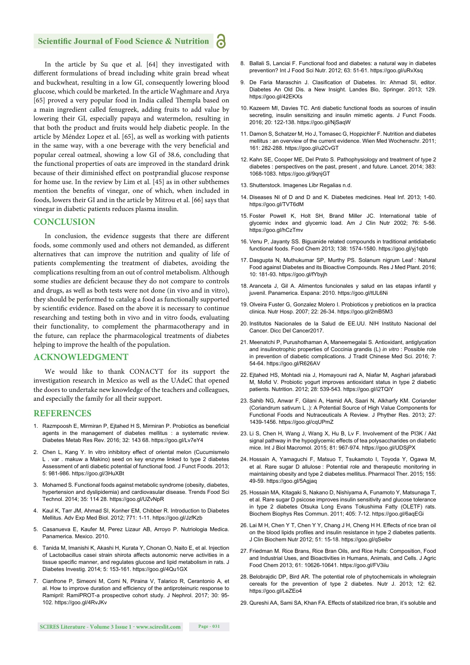In the article by Su que et al. [64] they investigated with different formulations of bread including white grain bread wheat and buckwheat, resulting in a low GI, consequently lowering blood glucose, which could be marketed. In the article Waghmare and Arya [65] proved a very popular food in India called Thempla based on a main ingredient called fenugreek, adding fruits to add value by lowering their GI, especially papaya and watermelon, resulting in that both the product and fruits would help diabetic people. In the article by Méndez Lopez et al. [65], as well as working with patients in the same way, with a one beverage with the very beneficial and popular cereal oatmeal, showing a low GI of 38.6, concluding that the functional properties of oats are improved in the standard drink because of their diminished effect on postprandial glucose response for home use. In the review by Lim et al. [45] as in other subthemes mention the benefits of vinegar, one of which, when included in foods, lowers their GI and in the article by Mitrou et al. [66] says that vinegar in diabetic patients reduces plasma insulin.

## **CONCLUSION**

In conclusion, the evidence suggests that there are different foods, some commonly used and others not demanded, as different alternatives that can improve the nutrition and quality of life of patients complementing the treatment of diabetes, avoiding the complications resulting from an out of control metabolism. Although some studies are deficient because they do not compare to controls and drugs, as well as both tests were not done (in vivo and in vitro), they should be performed to catalog a food as functionally supported by scientific evidence. Based on the above it is necessary to continue researching and testing both in vivo and in vitro foods, evaluating their functionality, to complement the pharmacotherapy and in the future, can replace the pharmacological treatments of diabetes helping to improve the health of the population.

#### **ACKNOWLEDGMENT**

We would like to thank CONACYT for its support the investigation research in Mexico as well as the UAdeC that opened the doors to undertake new knowledge of the teachers and colleagues, and especially the family for all their support.

#### **REFERENCES**

- 1. Razmpoosh E, Mirmiran P, Eitahed H S, Mirmiran P, Probiotics as beneficial agents in the management of diabetes mellitus : a systematic review. Diabetes Metab Res Rev. 2016; 32: 143 68. https://goo.gl/Lv7eY4
- 2. Chen L, Kang Y. In vitro inhibitory effect of oriental melon (Cucumismelo L . var . makuw a Makino) seed on key enzyme linked to type 2 diabetes Assessment of anti diabetic potential of functional food. J Funct Foods. 2013; 5: 981-986. https://goo.gl/3HuXBt
- 3. Mohamed S. Functional foods against metabolic syndrome (obesity, diabetes, hypertension and dyslipidemia) and cardiovasular disease. Trends Food Sci Technol. 2014; 35: 114 28. https://goo.gl/UZvNpR
- 4. Kaul K, Tarr JM, Ahmad SI, Konher EM, Chibber R. Introduction to Diabetes Mellitus. Adv Exp Med Biol. 2012; 771: 1-11. https://goo.gl/JzfKzb
- 5. Casanueva E, Kaufer M, Perez Lizaur AB, Arroyo P. Nutriologia Medica. Panamerica. Mexico. 2010.
- 6. Tanida M, Imanishi K, Akashi H, Kurata Y, Chonan O, Naito E, et al. Injection of Lactobacillus casei strain shirota affects autonomic nerve activities in a tissue specific manner, and regulates glucose and lipid metabolism in rats. J Diabetes Investig. 2014; 5: 153-161. https://goo.gl/4Qu1GX
- 7. Cianfrone P, Simeoni M, Comi N, Piraina V, Talarico R, Cerantonio A, et al. How to improve duration and efficiency of the antiproteinuric response to Ramipril: RamiPROT-a prospective cohort study. J Nephrol. 2017; 30: 95- 102. https://goo.gl/4RvJKv
- 8. Ballali S, Lanciai F. Functional food and diabetes: a natural way in diabetes prevention? Int J Food Sci Nutr. 2012; 63: 51-61. https://goo.gl/uRvXsq
- 9. De Faria Maraschin J. Clasification of Diabetes. In: Ahmad SI, editor. Diabetes An Old Dis. a New Insight. Landes Bio, Springer. 2013; 129. https://goo.gl/42EKXs
- 10. Kazeem MI, Davies TC. Anti diabetic functional foods as sources of insulin secreting, insulin sensitizing and insulin mimetic agents. J Funct Foods. 2016; 20: 122-138. https://goo.gl/NjSaqW
- 11. Damon S, Schatzer M, Ho J, Tomasec G, Hoppichler F, Nutrition and diabetes mellitus : an overview of the current evidence. Wien Med Wochenschr. 2011; 161: 282-288. https://goo.gl/u2CvGT
- 12. Kahn SE, Cooper ME, Del Prato S. Pathophysiology and treatment of type 2 diabetes : perspectives on the past, present , and future. Lancet. 2014; 383: 1068-1083. https://goo.gl/9qnjGT
- 13. Shutterstock. Imagenes Libr Regalias n.d.
- 14. Diseases NI of D and D and K. Diabetes medicines. Heal Inf. 2013; 1-60. https://goo.gl/TVT6dM
- 15. Foster Powell K, Holt SH, Brand Miller JC. International table of glycemic index and glycemic load. Am J Clin Nutr 2002; 76: 5-56. https://goo.gl/hCzTmv
- 16. Venu P, Jayanty SS. Biguanide related compounds in traditional antidiabetic functional foods. Food Chem 2013; 138: 1574-1580. https://goo.gl/yj1qbb
- 17. Dasgupta N, Muthukumar SP, Murthy PS. Solanum nigrum Leaf : Natural Food against Diabetes and its Bioactive Compounds. Res J Med Plant. 2016; 10: 181-93. https://goo.gl/fYbyjh
- 18. Aranceta J, Gil A. Alimentos funcionales y salud en las etapas infantil y juvenil. Panamerica. Espana: 2010. https://goo.gl/tUL6Ni
- 19. Olveira Fuster G, Gonzalez Molero I. Probioticos y prebioticos en la practica clinica. Nutr Hosp. 2007; 22: 26-34. https://goo.gl/2mB5M3
- 20. Institutos Nacionales de la Salud de EE.UU. NIH Instituto Nacional del Cancer. Dicc Del Cancer2017.
- 21. Meenatchi P, Purushothaman A, Maneemegalai S. Antioxidant, antiglycation and insulinotrophic properties of Coccinia grandis (L) *in vitro* : Possible role in prevention of diabetic complications. J Tradit Chinese Med Sci. 2016; 7: 54-64. https://goo.gl/R626AV
- 22. Ejtahed HS, Mohtadi nia J, Homayouni rad A, Niafar M, Asghari jafarabadi M, Mofid V. Probiotic yogurt improves antioxidant status in type 2 diabetic patients. Nutrition. 2012; 28: 539-543. https://goo.gl/i2TQiY
- 23. Sahib NG, Anwar F, Gilani A, Hamid AA, Saari N, Alkharfy KM. Coriander (Coriandrum sativum L .): A Potential Source of High Value Components for Functional Foods and Nutraceuticals A Review. J Phyther Res. 2013; 27: 1439-1456. https://goo.gl/cqUPmZ
- 23. Li S, Chen H, Wang J, Wang X, Hu B, Lv F. Involvement of the PI3K / Akt signal pathway in the hypoglycemic effects of tea polysaccharides on diabetic mice. Int J Biol Macromol. 2015; 81: 967-974. https://goo.gl/UDSjPX
- 24. Hossain A, Yamaguchi F, Matsuo T, Tsukamoto I, Toyoda Y, Ogawa M, et al. Rare sugar D allulose : Potential role and therapeutic monitoring in maintaining obesity and type 2 diabetes mellitus. Pharmacol Ther. 2015; 155: 49-59. https://goo.gl/5Agjaq
- 25. Hossain MA, Kitagaki S, Nakano D, Nishiyama A, Funamoto Y, Matsunaga T, et al. Rare sugar D psicose improves insulin sensitivity and glucose tolerance in type 2 diabetes Otsuka Long Evans Tokushima Fatty (OLETF) rats. Biochem Biophys Res Commun. 2011; 405: 7-12. https://goo.gl/6aqEGi
- 26. Lai M H, Chen Y T, Chen Y Y, Chang J H, Cheng H H. Effects of rice bran oil on the blood lipids profiles and insulin resistance in type 2 diabetes patients. J Clin Biochem Nutr 2012; 51: 15-18. https://goo.gl/qSeibv
- 27. Friedman M. Rice Brans, Rice Bran Oils, and Rice Hulls: Composition, Food and Industrial Uses, and Bioactivities in Humans, Animals, and Cells. J Agric Food Chem 2013; 61: 10626-10641. https://goo.gl/FV3iiu
- 28. Belobrajdic DP, Bird AR. The potential role of phytochemicals in wholegrain cereals for the prevention of type 2 diabetes. Nutr J. 2013; 12: 62. https://goo.gl/LeZEo4
- 29. Qureshi AA, Sami SA, Khan FA. Effects of stabilized rice bran, it's soluble and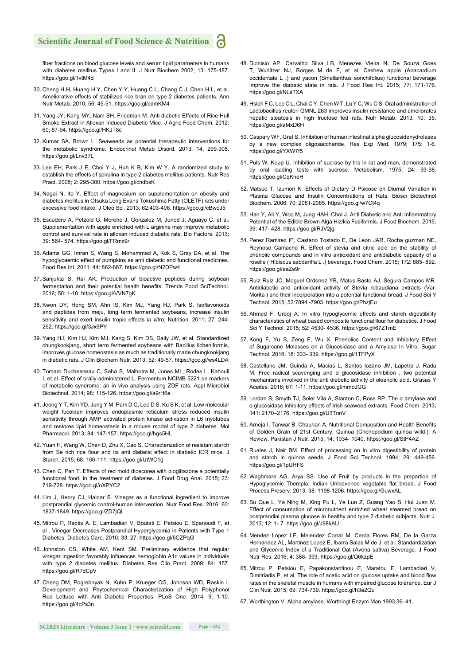fiber fractions on blood glucose levels and serum lipid parameters in humans with diabetes mellitus Types I and II. J Nutr Biochem 2002; 13: 175-187. https://goo.gl/1vtM4d

- 30. Cheng H H, Huang H Y, Chen Y Y, Huang C L, Chang C J, Chen H L, et al. Ameliorative effects of stabilized rice bran on type 2 diabetes patients. Ann Nutr Metab. 2010; 56: 45-51. https://goo.gl/cdmKM4
- 31. Yang JY, Kang MY, Nam SH, Friedman M. Anti diabetic Effects of Rice Hull Smoke Extract in Alloxan Induced Diabetic Mice. J Agric Food Chem. 2012: 60; 87-94. https://goo.gl/HKJT8c
- 32. Kumar SA, Brown L. Seaweeds as potential therapeutic interventions for the metabolic syndrome. Endocrinol Metab Disord. 2013: 14; 299-308. https://goo.gl/Lnv37L
- 33. Lee EH, Park J E, Choi Y J, Huh K B, Kim W Y. A randomized study to establish the effects of spirulina in type 2 diabetes mellitus patients. Nutr Res Pract. 2008; 2: 295-300. https://goo.gl/cndbsK
- 34. Nagai N, Ito Y. Effect of magnesium ion supplementation on obesity and diabetes mellitus in Otsuka Long Evans Tokushima Fatty (OLETF) rats under excessive food intake. J Oleo Sci. 2013; 62:403-408. https://goo.gl/cBwoJ5
- 35. Escudero A, Petzold G, Moreno J, Gonzalez M, Junod J, Aguayo C, et al. Supplementation with apple enriched with L arginine may improve metabolic control and survival rate in alloxan induced diabetic rats. Bio Factors. 2013; 39: 564- 574. https://goo.gl/FRmx9r
- 36. Adams GG, Imran S, Wang S, Mohammad A, Kok S, Gray DA, et al. The hypoglycaemic effect of pumpkins as anti diabetic and functional medicines. Food Res Int. 2011; 44: 862-867. https://goo.gl/N2DPw4
- 37. Sanjukta S, Rai AK. Production of bioactive peptides during soybean fermentation and their potential health benefits. Trends Food SciTechnol. 2016; 50: 1-10. https://goo.gl/VVN7gK
- 38. Kwon DY, Hong SM, Ahn IS, Kim MJ, Yang HJ, Park S. Isoflavonoids and peptides from meju, long term fermented soybeans, increase insulin sensitivity and exert insulin tropic effects *in vitro*. Nutrition. 2011; 27: 244- 252. https://goo.gl/3Jx9PY
- 39. Yang HJ, Kim HJ, Kim MJ, Kang S, Kim DS, Daily JW, et al. Standardized chungkookjang, short term fermented soybeans with Bacillus licheniformis, improves glucose homeostasis as much as traditionally made chungkookjang in diabetic rats. J Clin Biochem Nutr. 2013; 52: 49-57. https://goo.gl/ws4LDA
- 40. Tomaro Duchesneau C, Saha S, Malhotra M, Jones ML, Rodes L, Kahouli I, et al. Effect of orally administered L. Fermentum NCIMB 5221 on markers of metabolic syndrome: an in vivo analysis using ZDF rats. Appl Microbiol Biotechnol. 2014; 98: 115-126. https://goo.gl/a9rH6e
- 41. Jeong Y T, Kim YD, Jung Y M, Park D C, Lee D S, Ku S K, et al. Low molecular weight fucoidan improves endoplasmic reticulum stress reduced insulin sensitivity through AMP activated protein kinase activation in L6 myotubes and restores lipid homeostasis in a mouse model of type 2 diabetes. Mol Pharmacol. 2013; 84: 147-157. https://goo.gl/bgs5HL
- 42. Yuan H, Wang W, Chen D, Zhu X, Cao S. Characterization of resistant starch from Se rich rice flour and its anti diabetic effect in diabetic ICR mice. J Starch. 2015; 68: 106-111. https://goo.gl/UtWC1g
- 43. Chen C, Pan T. Effects of red mold dioscorea with pioglitazone a potentially functional food, in the treatment of diabetes. J Food Drug Anal. 2015; 23: 719-728. https://goo.gl/oXPYC2
- 44. Lim J, Henry CJ, Haldar S. Vinegar as a functional ingredient to improve postprandial glycemic control-human intervention. Nutr Food Res. 2016; 60: 1837-1849. https://goo.gl/ZD7jQi
- 45. Mitrou P, Raptis A. E, Lambadiari V, Boutati E. Petsiou E, Spanoudi F, et al . Vinegar Decreases Postprandial Hyperglycemia in Patients with Type 1 Diabetes. Diabetes Care. 2010; 33: 27. https://goo.gl/6CZPqG
- 46. Johnston CS, White AM, Kent SM. Preliminary evidence that regular vinegar ingestion favorably influences hemoglobin A1c values in individuals with type 2 diabetes mellitus. Diabetes Res Clin Pract. 2009; 84: 157. https://goo.gl/R7dCpV
- 47. Cheng DM, Pogrebnyak N, Kuhn P, Krueger CG, Johnson WD, Raskin I. Development and Phytochemical Characterization of High Polyphenol Red Lettuce with Anti Diabetic Properties. PLoS One. 2014; 9: 1-10. https://goo.gl/4cPs3n
- 48. Dionisio AP, Carvalho Silva LB, Menezes Vieira N, De Souza Goes T, Wurlitzer NJ, Borges M de F, et al. Cashew apple (Anacardium occidentale L .) and yacon (Smallanthus sonchifolius) functional beverage improve the diabetic state in rats. J Food Res Int. 2015; 77: 171-176. https://goo.gl/NLsTXA
- 49. Hsieh F C, Lee C L, Chai C Y, Chen W T, Lu Y C, Wu C S. Oral administration of Lactobacillus reuteri GMNL 263 improves insulin resistance and ameliorates hepatic steatosis in high fructose fed rats. Nutr Metab. 2013; 10: 35. https://goo.gl/aMxD6H
- 50. Caspary WF, Graf S. Inhibition of human intestinal alpha glucosidehydrolases by a new complex oligosaccharide. Res Exp Med. 1979; 175: 1-6. https://goo.gl/YXW7f5
- 51. Puls W, Keup U. Inhibition of sucrase by tris in rat and man, demonstrated by oral loading tests with sucrose. Metabolism. 1975; 24: 93-98. https://goo.gl/CqKnoH
- 52. Matsuo T, Izumori K. Effects of Dietary D Psicose on Diurnal Variation in Plasma Glucose and Insulin Concentrations of Rats. Biosci Biotechnol Biochem. 2006; 70: 2081-2085. https://goo.gl/w7Ct4q
- 53. Han Y, Ali Y, Woo M, Jung HAH, Choi J. Anti Diabetic and Anti Inflammatory Potential of the Edible Brown Alga Hizikia Fusiformis. J Food Biochem. 2015; 39: 417- 428. https://goo.gl/RJV2jg
- 54. Perez Ramirez IF, Castano Tostado E, De Leon JAR, Rocha guzman NE, Reynoso Camacho R. Effect of stevia and citric acid on the stability of phenolic compounds and in vitro antioxidant and antidiabetic capacity of a roselle ( Hibiscus sabdariffa L .) beverage. Food Chem. 2015; 172: 885- 892. https://goo.gl/aaZe9r
- 55. Ruiz Ruiz JC, Moguel Ordonez YB, Matus Basto AJ, Segura Campos MR. Antidiabetic and antioxidant activity of Stevia rebaudiana extracts (Var. Morita ) and their incorporation into a potential functional bread. J Food Sci Y Technol. 2015; 52:7894 -7903. https://goo.gl/PhzjEu
- 56. Ahmed F, Urooj A. In vitro hypoglycemic effects and starch digestibility characteristics of wheat based composite functional flour for diabetics. J Food Sci Y Technol. 2015; 52: 4530- 4536. https://goo.gl/67ZTmE
- 57. Kong F, Yu S, Zeng F, Wu X. Phenolics Content and Inhibitory Effect of Sugarcane Molasses on a Glucosidase and a Amylase In Vitro. Sugar Technol. 2016; 18: 333- 339. https://goo.gl/1TFPyX
- 58. Castellano JM, Guinda A, Macias L, Santos lozano JM, Lapetra J, Rada M. Free radical scavenging and α glucosidase inhibition , two potential mechanisms involved in the anti diabetic activity of oleanolic acid. Grasas Y Aceites. 2016; 67: 1-11. https://goo.gl/mmoJGG
- 59. Lordan S, Smyth TJ, Soler Vila A, Stanton C, Ross RP. The α amylase and α glucosidase inhibitory effects of Irish seaweed extracts. Food Chem. 2013; 141: 2170–2176. https://goo.gl/U3TnnV
- 60. Arneja I, Tanwar B, Chauhan A. Nutritional Composition and Health Benefits of Golden Grain of 21st Century, Quinoa (Chenopodium quinoa willd.): A Review. Pakistan J Nutr. 2015; 14: 1034- 1040. https://goo.gl/StP4AZ
- 61. Ruales J, Nair BM. Effect of processing on in vitro digestibility of protein and starch in quinoa seeds. J Food Sci Technol. 1994; 29: 449-456. https://goo.gl/1pUHFS
- 62. Waghmare AG, Arya SS. Use of Fruit by products in the prepartion of Hypoglycemic Thempla: Indian Unleavened vegetable flat bread. J Food Process Preserv. 2013; 38: 1198-1206. https://goo.gl/GuwxAL
- 63. Su Que L, Ya Ning M, Xing Pu L, Ye Lun Z, Guang Yao S, Hui Juan M. Effect of consumption of micronutrient enriched wheat steamed bread on postprandial plasma glucose in healthy and type 2 diabetic subjects. Nutr J. 2013; 12: 1- 7. https://goo.gl/J98kAU
- 64. Mendez Lopez LF, Melendez Corral M, Cerda Flores RM, De la Garza Hernandez AL, Martinez Lopez E, Ibarra Salas M de J, et al. Standardization and Glycemic Index of a Traditional Oat (Avena sativa) Beverage. J Food Nutr Res. 2016; 4: 388- 393. https://goo.gl/Q6kzpE
- 65. Mitrou P, Petsiou E, Papakonstantinou E, Maratou E, Lambadiari V, Dimitriadis P, et al. The role of acetic acid on glucose uptake and blood flow rates in the skeletal muscle in humans with impaired glucose tolerance. Eur J Clin Nutr. 2015; 69: 734-739. https://goo.gl/h3a2Qu
- 67. Worthington V. Alpha amylase. Worthingt Enzym Man 1993:36–41.